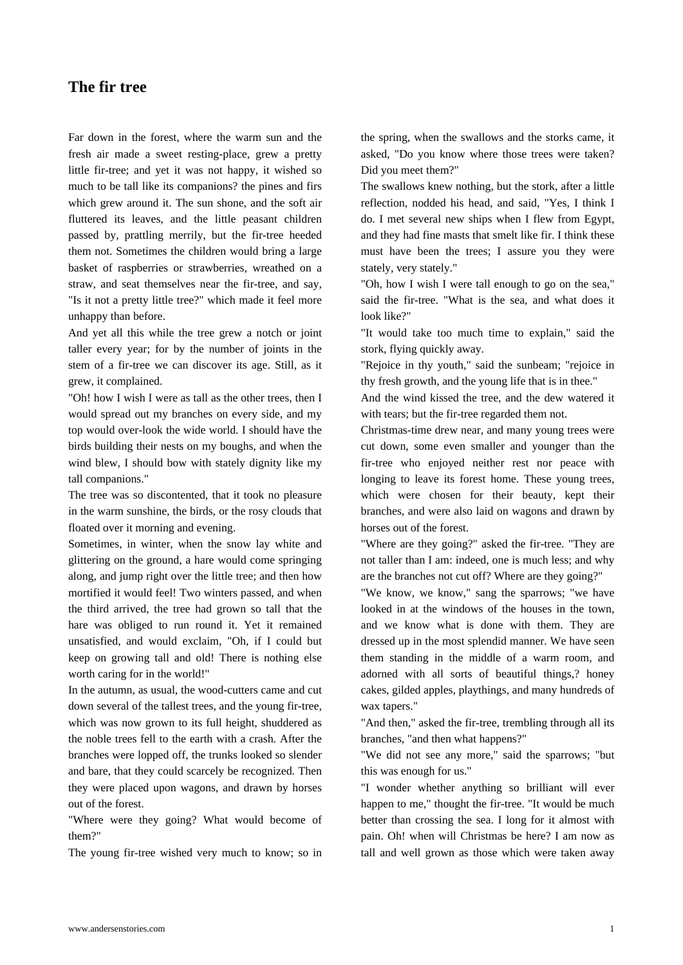[Far down in the](https://www.andersenstories.com/en/andersen_fairy-tales/the_fir_tree) forest, where the warm sun and the fresh air made a sweet resting-place, grew a pretty little fir-tree; and yet it was not happy, it wished so much to be tall like its companions? the pines and firs which grew around it. The sun shone, and the soft air fluttered its leaves, and the little peasant children passed by, prattling merrily, but the fir-tree heeded them not. Sometimes the children would bring a large basket of raspberries or strawberries, wreathed on a straw, and seat themselves near the fir-tree, and say, "Is it not a pretty little tree?" which made it feel more unhappy than before.

And yet all this while the tree grew a notch or joint taller every year; for by the number of joints in the stem of a fir-tree we can discover its age. Still, as it grew, it complained.

"Oh! how I wish I were as tall as the other trees, then I would spread out my branches on every side, and my top would over-look the wide world. I should have the birds building their nests on my boughs, and when the wind blew, I should bow with stately dignity like my tall companions."

The tree was so discontented, that it took no pleasure in the warm sunshine, the birds, or the rosy clouds that floated over it morning and evening.

Sometimes, in winter, when the snow lay white and glittering on the ground, a hare would come springing along, and jump right over the little tree; and then how mortified it would feel! Two winters passed, and when the third arrived, the tree had grown so tall that the hare was obliged to run round it. Yet it remained unsatisfied, and would exclaim, "Oh, if I could but keep on growing tall and old! There is nothing else worth caring for in the world!"

In the autumn, as usual, the wood-cutters came and cut down several of the tallest trees, and the young fir-tree, which was now grown to its full height, shuddered as the noble trees fell to the earth with a crash. After the branches were lopped off, the trunks looked so slender and bare, that they could scarcely be recognized. Then they were placed upon wagons, and drawn by horses out of the forest.

"Where were they going? What would become of them?"

The young fir-tree wished very much to know; so in

the spring, when the swallows and the storks came, it asked, "Do you know where those trees were taken? Did you meet them?"

The swallows knew nothing, but the stork, after a little reflection, nodded his head, and said, "Yes, I think I do. I met several new ships when I flew from Egypt, and they had fine masts that smelt like fir. I think these must have been the trees; I assure you they were stately, very stately."

"Oh, how I wish I were tall enough to go on the sea," said the fir-tree. "What is the sea, and what does it look like?"

"It would take too much time to explain," said the stork, flying quickly away.

"Rejoice in thy youth," said the sunbeam; "rejoice in thy fresh growth, and the young life that is in thee."

And the wind kissed the tree, and the dew watered it with tears; but the fir-tree regarded them not.

Christmas-time drew near, and many young trees were cut down, some even smaller and younger than the fir-tree who enjoyed neither rest nor peace with longing to leave its forest home. These young trees, which were chosen for their beauty, kept their branches, and were also laid on wagons and drawn by horses out of the forest.

"Where are they going?" asked the fir-tree. "They are not taller than I am: indeed, one is much less; and why are the branches not cut off? Where are they going?"

"We know, we know," sang the sparrows; "we have looked in at the windows of the houses in the town, and we know what is done with them. They are dressed up in the most splendid manner. We have seen them standing in the middle of a warm room, and adorned with all sorts of beautiful things,? honey cakes, gilded apples, playthings, and many hundreds of wax tapers."

"And then," asked the fir-tree, trembling through all its branches, "and then what happens?"

"We did not see any more," said the sparrows; "but this was enough for us."

"I wonder whether anything so brilliant will ever happen to me," thought the fir-tree. "It would be much better than crossing the sea. I long for it almost with pain. Oh! when will Christmas be here? I am now as tall and well grown as those which were taken away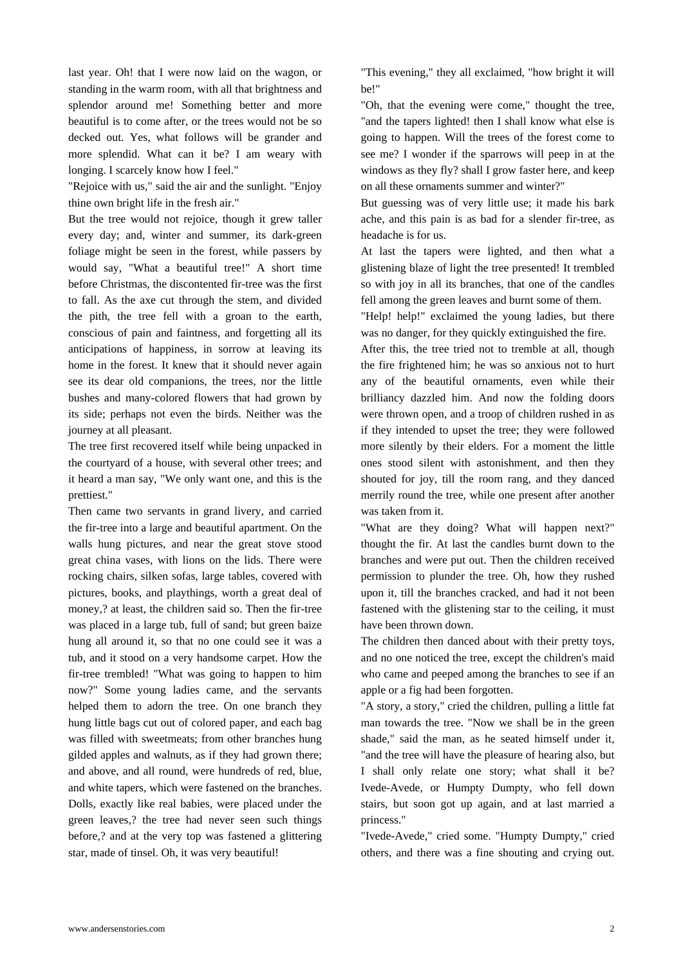last year. Oh! that I were now laid on the wagon, or standing in the warm room, with all that brightness and splendor around me! Something better and more beautiful is to come after, or the trees would not be so decked out. Yes, what follows will be grander and more splendid. What can it be? I am weary with longing. I scarcely know how I feel."

"Rejoice with us," said the air and the sunlight. "Enjoy thine own bright life in the fresh air."

But the tree would not rejoice, though it grew taller every day; and, winter and summer, its dark-green foliage might be seen in the forest, while passers by would say, "What a beautiful tree!" A short time before Christmas, the discontented fir-tree was the first to fall. As the axe cut through the stem, and divided the pith, the tree fell with a groan to the earth, conscious of pain and faintness, and forgetting all its anticipations of happiness, in sorrow at leaving its home in the forest. It knew that it should never again see its dear old companions, the trees, nor the little bushes and many-colored flowers that had grown by its side; perhaps not even the birds. Neither was the journey at all pleasant.

The tree first recovered itself while being unpacked in the courtyard of a house, with several other trees; and it heard a man say, "We only want one, and this is the prettiest."

Then came two servants in grand livery, and carried the fir-tree into a large and beautiful apartment. On the walls hung pictures, and near the great stove stood great china vases, with lions on the lids. There were rocking chairs, silken sofas, large tables, covered with pictures, books, and playthings, worth a great deal of money,? at least, the children said so. Then the fir-tree was placed in a large tub, full of sand; but green baize hung all around it, so that no one could see it was a tub, and it stood on a very handsome carpet. How the fir-tree trembled! "What was going to happen to him now?" Some young ladies came, and the servants helped them to adorn the tree. On one branch they hung little bags cut out of colored paper, and each bag was filled with sweetmeats; from other branches hung gilded apples and walnuts, as if they had grown there; and above, and all round, were hundreds of red, blue, and white tapers, which were fastened on the branches. Dolls, exactly like real babies, were placed under the green leaves,? the tree had never seen such things before,? and at the very top was fastened a glittering star, made of tinsel. Oh, it was very beautiful!

"This evening," they all exclaimed, "how bright it will be!"

"Oh, that the evening were come," thought the tree, "and the tapers lighted! then I shall know what else is going to happen. Will the trees of the forest come to see me? I wonder if the sparrows will peep in at the windows as they fly? shall I grow faster here, and keep on all these ornaments summer and winter?"

But guessing was of very little use; it made his bark ache, and this pain is as bad for a slender fir-tree, as headache is for us.

At last the tapers were lighted, and then what a glistening blaze of light the tree presented! It trembled so with joy in all its branches, that one of the candles fell among the green leaves and burnt some of them.

"Help! help!" exclaimed the young ladies, but there was no danger, for they quickly extinguished the fire.

After this, the tree tried not to tremble at all, though the fire frightened him; he was so anxious not to hurt any of the beautiful ornaments, even while their brilliancy dazzled him. And now the folding doors were thrown open, and a troop of children rushed in as if they intended to upset the tree; they were followed more silently by their elders. For a moment the little ones stood silent with astonishment, and then they shouted for joy, till the room rang, and they danced merrily round the tree, while one present after another was taken from it.

"What are they doing? What will happen next?" thought the fir. At last the candles burnt down to the branches and were put out. Then the children received permission to plunder the tree. Oh, how they rushed upon it, till the branches cracked, and had it not been fastened with the glistening star to the ceiling, it must have been thrown down.

The children then danced about with their pretty toys, and no one noticed the tree, except the children's maid who came and peeped among the branches to see if an apple or a fig had been forgotten.

"A story, a story," cried the children, pulling a little fat man towards the tree. "Now we shall be in the green shade," said the man, as he seated himself under it, "and the tree will have the pleasure of hearing also, but I shall only relate one story; what shall it be? Ivede-Avede, or Humpty Dumpty, who fell down stairs, but soon got up again, and at last married a princess."

"Ivede-Avede," cried some. "Humpty Dumpty," cried others, and there was a fine shouting and crying out.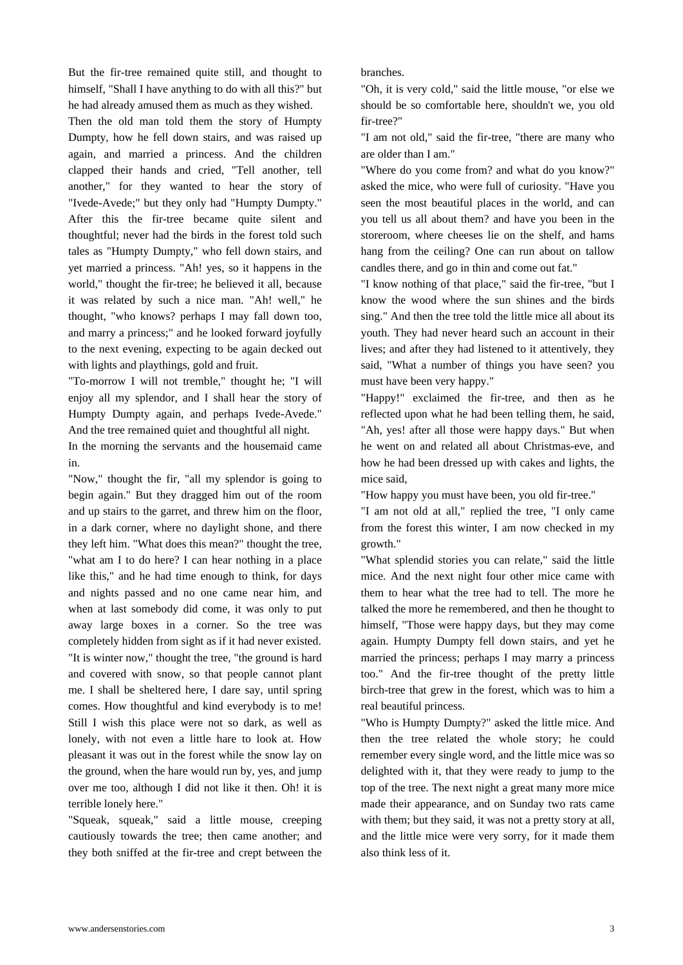But the fir-tree remained quite still, and thought to himself, "Shall I have anything to do with all this?" but he had already amused them as much as they wished.

Then the old man told them the story of Humpty Dumpty, how he fell down stairs, and was raised up again, and married a princess. And the children clapped their hands and cried, "Tell another, tell another," for they wanted to hear the story of "Ivede-Avede;" but they only had "Humpty Dumpty." After this the fir-tree became quite silent and thoughtful; never had the birds in the forest told such tales as "Humpty Dumpty," who fell down stairs, and yet married a princess. "Ah! yes, so it happens in the world," thought the fir-tree; he believed it all, because it was related by such a nice man. "Ah! well," he thought, "who knows? perhaps I may fall down too, and marry a princess;" and he looked forward joyfully to the next evening, expecting to be again decked out with lights and playthings, gold and fruit.

"To-morrow I will not tremble," thought he; "I will enjoy all my splendor, and I shall hear the story of Humpty Dumpty again, and perhaps Ivede-Avede." And the tree remained quiet and thoughtful all night.

In the morning the servants and the housemaid came in.

"Now," thought the fir, "all my splendor is going to begin again." But they dragged him out of the room and up stairs to the garret, and threw him on the floor, in a dark corner, where no daylight shone, and there they left him. "What does this mean?" thought the tree, "what am I to do here? I can hear nothing in a place like this," and he had time enough to think, for days and nights passed and no one came near him, and when at last somebody did come, it was only to put away large boxes in a corner. So the tree was completely hidden from sight as if it had never existed. "It is winter now," thought the tree, "the ground is hard and covered with snow, so that people cannot plant me. I shall be sheltered here, I dare say, until spring comes. How thoughtful and kind everybody is to me! Still I wish this place were not so dark, as well as lonely, with not even a little hare to look at. How pleasant it was out in the forest while the snow lay on the ground, when the hare would run by, yes, and jump over me too, although I did not like it then. Oh! it is terrible lonely here."

"Squeak, squeak," said a little mouse, creeping cautiously towards the tree; then came another; and they both sniffed at the fir-tree and crept between the branches.

"Oh, it is very cold," said the little mouse, "or else we should be so comfortable here, shouldn't we, you old fir-tree?"

"I am not old," said the fir-tree, "there are many who are older than I am."

"Where do you come from? and what do you know?" asked the mice, who were full of curiosity. "Have you seen the most beautiful places in the world, and can you tell us all about them? and have you been in the storeroom, where cheeses lie on the shelf, and hams hang from the ceiling? One can run about on tallow candles there, and go in thin and come out fat."

"I know nothing of that place," said the fir-tree, "but I know the wood where the sun shines and the birds sing." And then the tree told the little mice all about its youth. They had never heard such an account in their lives; and after they had listened to it attentively, they said, "What a number of things you have seen? you must have been very happy."

"Happy!" exclaimed the fir-tree, and then as he reflected upon what he had been telling them, he said, "Ah, yes! after all those were happy days." But when he went on and related all about Christmas-eve, and how he had been dressed up with cakes and lights, the mice said,

"How happy you must have been, you old fir-tree."

"I am not old at all," replied the tree, "I only came from the forest this winter, I am now checked in my growth."

"What splendid stories you can relate," said the little mice. And the next night four other mice came with them to hear what the tree had to tell. The more he talked the more he remembered, and then he thought to himself, "Those were happy days, but they may come again. Humpty Dumpty fell down stairs, and yet he married the princess; perhaps I may marry a princess too." And the fir-tree thought of the pretty little birch-tree that grew in the forest, which was to him a real beautiful princess.

"Who is Humpty Dumpty?" asked the little mice. And then the tree related the whole story; he could remember every single word, and the little mice was so delighted with it, that they were ready to jump to the top of the tree. The next night a great many more mice made their appearance, and on Sunday two rats came with them; but they said, it was not a pretty story at all, and the little mice were very sorry, for it made them also think less of it.